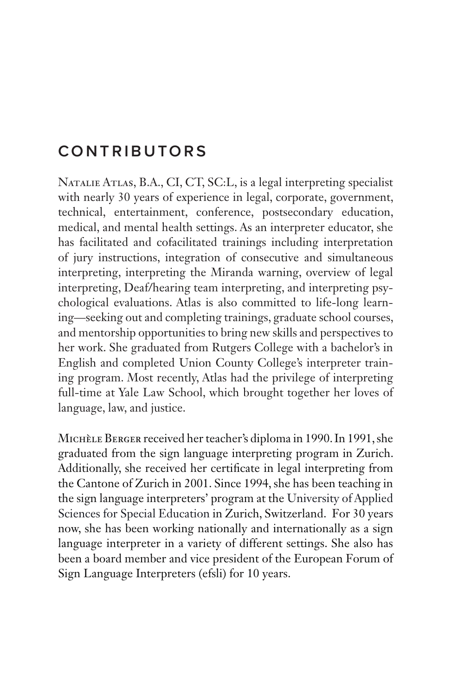## **CONTRIBUTORS**

Natalie Atlas, B.A., CI, CT, SC:L, is a legal interpreting specialist with nearly 30 years of experience in legal, corporate, government, technical, entertainment, conference, postsecondary education, medical, and mental health settings. As an interpreter educator, she has facilitated and cofacilitated trainings including interpretation of jury instructions, integration of consecutive and simultaneous interpreting, interpreting the Miranda warning, overview of legal interpreting, Deaf/hearing team interpreting, and interpreting psychological evaluations. Atlas is also committed to life-long learning—seeking out and completing trainings, graduate school courses, and mentorship opportunities to bring new skills and perspectives to her work. She graduated from Rutgers College with a bachelor's in English and completed Union County College's interpreter training program. Most recently, Atlas had the privilege of interpreting full-time at Yale Law School, which brought together her loves of language, law, and justice.

Michèle Berger received her teacher's diploma in 1990. In 1991, she graduated from the sign language interpreting program in Zurich. Additionally, she received her certificate in legal interpreting from the Cantone of Zurich in 2001. Since 1994, she has been teaching in the sign language interpreters' program at the University of Applied Sciences for Special Education in Zurich, Switzerland. For 30 years now, she has been working nationally and internationally as a sign language interpreter in a variety of different settings. She also has been a board member and vice president of the European Forum of Sign Language Interpreters (efsli) for 10 years.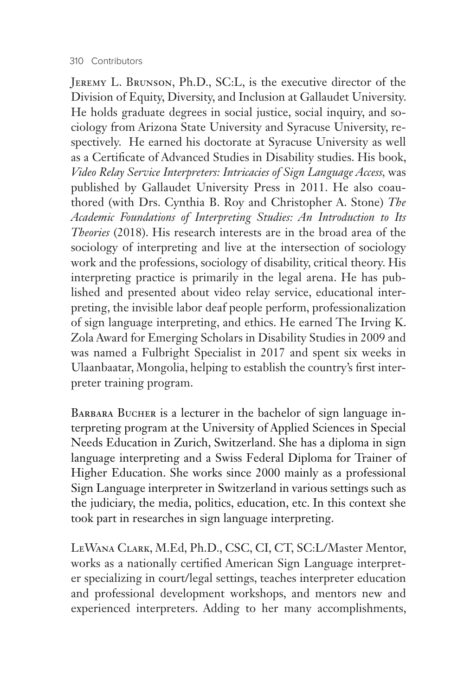## 310 Contributors

Jeremy L. Brunson, Ph.D., SC:L, is the executive director of the Division of Equity, Diversity, and Inclusion at Gallaudet University. He holds graduate degrees in social justice, social inquiry, and sociology from Arizona State University and Syracuse University, respectively. He earned his doctorate at Syracuse University as well as a Certificate of Advanced Studies in Disability studies. His book, *Video Relay Service Interpreters: Intricacies of Sign Language Access,* was published by Gallaudet University Press in 2011. He also coauthored (with Drs. Cynthia B. Roy and Christopher A. Stone) *The Academic Foundations of Interpreting Studies: An Introduction to Its Theories* (2018). His research interests are in the broad area of the sociology of interpreting and live at the intersection of sociology work and the professions, sociology of disability, critical theory. His interpreting practice is primarily in the legal arena. He has published and presented about video relay service, educational interpreting, the invisible labor deaf people perform, professionalization of sign language interpreting, and ethics. He earned The Irving K. Zola Award for Emerging Scholars in Disability Studies in 2009 and was named a Fulbright Specialist in 2017 and spent six weeks in Ulaanbaatar, Mongolia, helping to establish the country's first interpreter training program.

BARBARA BUCHER is a lecturer in the bachelor of sign language interpreting program at the University of Applied Sciences in Special Needs Education in Zurich, Switzerland. She has a diploma in sign language interpreting and a Swiss Federal Diploma for Trainer of Higher Education. She works since 2000 mainly as a professional Sign Language interpreter in Switzerland in various settings such as the judiciary, the media, politics, education, etc. In this context she took part in researches in sign language interpreting.

LeWana Clark, M.Ed, Ph.D., CSC, CI, CT, SC:L/Master Mentor, works as a nationally certified American Sign Language interpreter specializing in court/legal settings, teaches interpreter education and professional development workshops, and mentors new and experienced interpreters. Adding to her many accomplishments,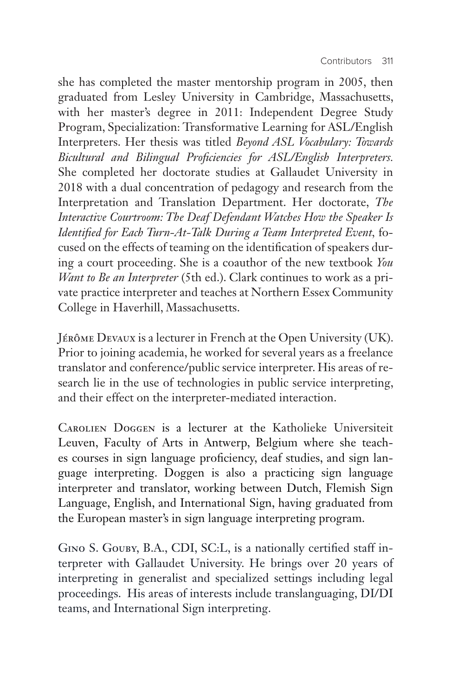she has completed the master mentorship program in 2005, then graduated from Lesley University in Cambridge, Massachusetts, with her master's degree in 2011: Independent Degree Study Program, Specialization: Transformative Learning for ASL/English Interpreters. Her thesis was titled *Beyond ASL Vocabulary: Towards Bicultural and Bilingual Proficiencies for ASL/English Interpreters.*  She completed her doctorate studies at Gallaudet University in 2018 with a dual concentration of pedagogy and research from the Interpretation and Translation Department. Her doctorate, *The Interactive Courtroom: The Deaf Defendant Watches How the Speaker Is Identified for Each Turn-At-Talk During a Team Interpreted Event,* focused on the effects of teaming on the identification of speakers during a court proceeding. She is a coauthor of the new textbook *You Want to Be an Interpreter* (5th ed.). Clark continues to work as a private practice interpreter and teaches at Northern Essex Community College in Haverhill, Massachusetts.

Jérôme Devaux is a lecturer in French at the Open University (UK). Prior to joining academia, he worked for several years as a freelance translator and conference/public service interpreter. His areas of research lie in the use of technologies in public service interpreting, and their effect on the interpreter-mediated interaction.

Carolien Doggen is a lecturer at the Katholieke Universiteit Leuven, Faculty of Arts in Antwerp, Belgium where she teaches courses in sign language proficiency, deaf studies, and sign language interpreting. Doggen is also a practicing sign language interpreter and translator, working between Dutch, Flemish Sign Language, English, and International Sign, having graduated from the European master's in sign language interpreting program.

Gino S. Gouby, B.A., CDI, SC:L, is a nationally certified staff interpreter with Gallaudet University. He brings over 20 years of interpreting in generalist and specialized settings including legal proceedings. His areas of interests include translanguaging, DI/DI teams, and International Sign interpreting.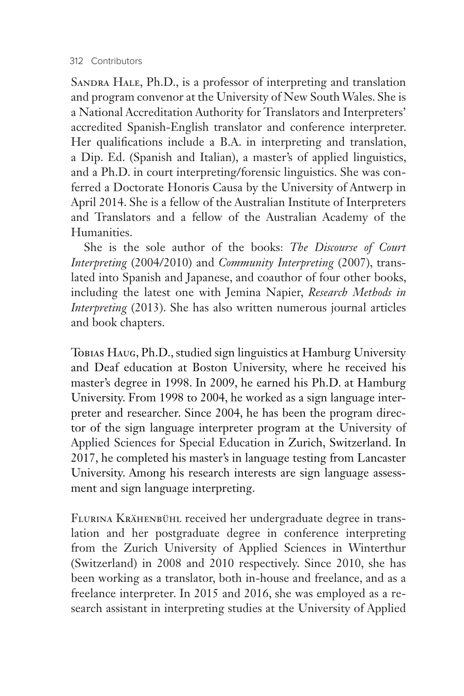SANDRA HALE, Ph.D., is a professor of interpreting and translation and program convenor at the University of New South Wales. She is a National Accreditation Authority for Translators and Interpreters' accredited Spanish-English translator and conference interpreter. Her qualifications include a B.A. in interpreting and translation, a Dip. Ed. (Spanish and Italian), a master's of applied linguistics, and a Ph.D. in court interpreting/forensic linguistics. She was conferred a Doctorate Honoris Causa by the University of Antwerp in April 2014. She is a fellow of the Australian Institute of Interpreters and Translators and a fellow of the Australian Academy of the Humanities.

She is the sole author of the books: *The Discourse of Court Interpreting* (2004/2010) and *Community Interpreting* (2007), translated into Spanish and Japanese, and coauthor of four other books, including the latest one with Jemina Napier, *Research Methods in Interpreting* (2013). She has also written numerous journal articles and book chapters.

Tobias Haug, Ph.D., studied sign linguistics at Hamburg University and Deaf education at Boston University, where he received his master's degree in 1998. In 2009, he earned his Ph.D. at Hamburg University. From 1998 to 2004, he worked as a sign language interpreter and researcher. Since 2004, he has been the program director of the sign language interpreter program at the University of Applied Sciences for Special Education in Zurich, Switzerland. In 2017, he completed his master's in language testing from Lancaster University. Among his research interests are sign language assessment and sign language interpreting.

Flurina Krähenbühl received her undergraduate degree in translation and her postgraduate degree in conference interpreting from the Zurich University of Applied Sciences in Winterthur (Switzerland) in 2008 and 2010 respectively. Since 2010, she has been working as a translator, both in-house and freelance, and as a freelance interpreter. In 2015 and 2016, she was employed as a research assistant in interpreting studies at the University of Applied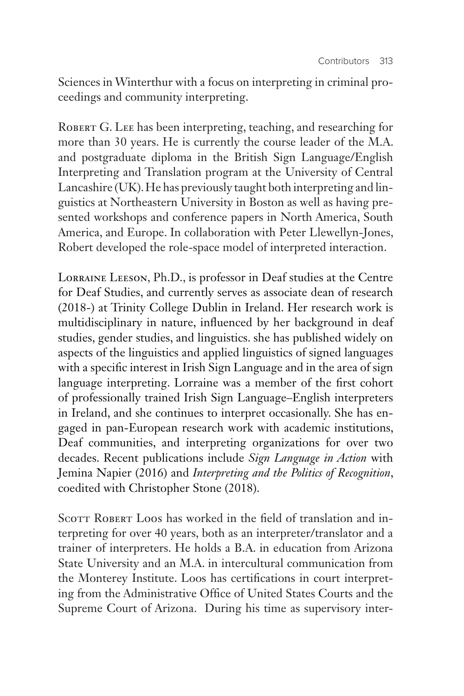Sciences in Winterthur with a focus on interpreting in criminal proceedings and community interpreting.

ROBERT G. LEE has been interpreting, teaching, and researching for more than 30 years. He is currently the course leader of the M.A. and postgraduate diploma in the British Sign Language/English Interpreting and Translation program at the University of Central Lancashire (UK). He has previously taught both interpreting and linguistics at Northeastern University in Boston as well as having presented workshops and conference papers in North America, South America, and Europe. In collaboration with Peter Llewellyn-Jones, Robert developed the role-space model of interpreted interaction.

Lorraine Leeson, Ph.D., is professor in Deaf studies at the Centre for Deaf Studies, and currently serves as associate dean of research (2018-) at Trinity College Dublin in Ireland. Her research work is multidisciplinary in nature, influenced by her background in deaf studies, gender studies, and linguistics. she has published widely on aspects of the linguistics and applied linguistics of signed languages with a specific interest in Irish Sign Language and in the area of sign language interpreting. Lorraine was a member of the first cohort of professionally trained Irish Sign Language–English interpreters in Ireland, and she continues to interpret occasionally. She has engaged in pan-European research work with academic institutions, Deaf communities, and interpreting organizations for over two decades. Recent publications include *Sign Language in Action* with Jemina Napier (2016) and *Interpreting and the Politics of Recognition*, coedited with Christopher Stone (2018).

SCOTT ROBERT LOOS has worked in the field of translation and interpreting for over 40 years, both as an interpreter/translator and a trainer of interpreters. He holds a B.A. in education from Arizona State University and an M.A. in intercultural communication from the Monterey Institute. Loos has certifications in court interpreting from the Administrative Office of United States Courts and the Supreme Court of Arizona. During his time as supervisory inter-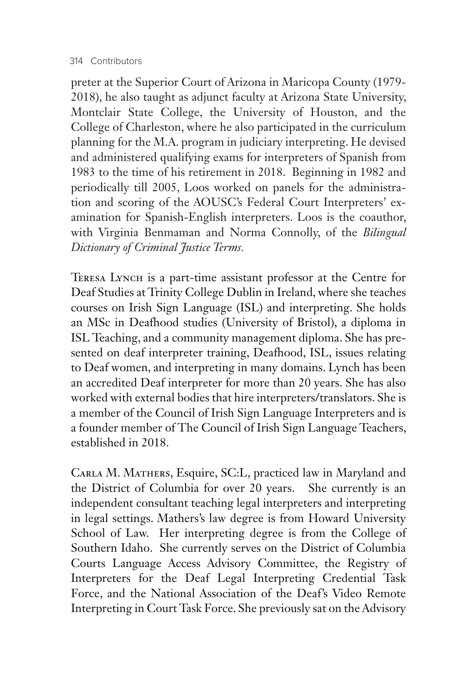preter at the Superior Court of Arizona in Maricopa County (1979- 2018), he also taught as adjunct faculty at Arizona State University, Montclair State College, the University of Houston, and the College of Charleston, where he also participated in the curriculum planning for the M.A. program in judiciary interpreting. He devised and administered qualifying exams for interpreters of Spanish from 1983 to the time of his retirement in 2018. Beginning in 1982 and periodically till 2005, Loos worked on panels for the administration and scoring of the AOUSC's Federal Court Interpreters' examination for Spanish-English interpreters. Loos is the coauthor, with Virginia Benmaman and Norma Connolly, of the *Bilingual Dictionary of Criminal Justice Terms.*

Teresa Lynch is a part-time assistant professor at the Centre for Deaf Studies at Trinity College Dublin in Ireland, where she teaches courses on Irish Sign Language (ISL) and interpreting. She holds an MSc in Deafhood studies (University of Bristol), a diploma in ISL Teaching, and a community management diploma. She has presented on deaf interpreter training, Deafhood, ISL, issues relating to Deaf women, and interpreting in many domains. Lynch has been an accredited Deaf interpreter for more than 20 years. She has also worked with external bodies that hire interpreters/translators. She is a member of the Council of Irish Sign Language Interpreters and is a founder member of The Council of Irish Sign Language Teachers, established in 2018.

CARLA M. MATHERS, Esquire, SC:L, practiced law in Maryland and the District of Columbia for over 20 years. She currently is an independent consultant teaching legal interpreters and interpreting in legal settings. Mathers's law degree is from Howard University School of Law. Her interpreting degree is from the College of Southern Idaho. She currently serves on the District of Columbia Courts Language Access Advisory Committee, the Registry of Interpreters for the Deaf Legal Interpreting Credential Task Force, and the National Association of the Deaf's Video Remote Interpreting in Court Task Force. She previously sat on the Advisory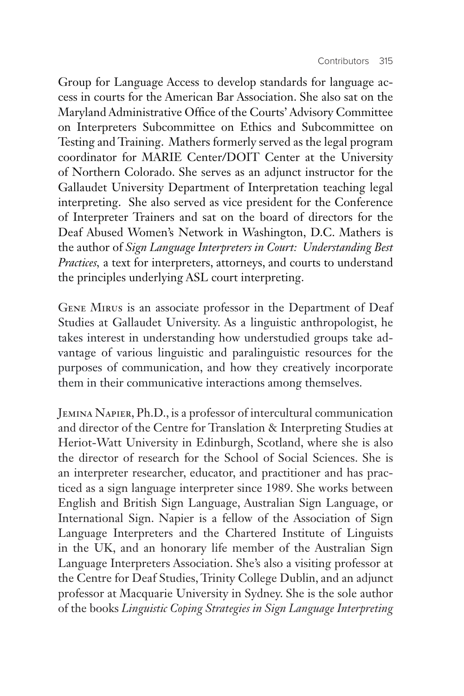Group for Language Access to develop standards for language access in courts for the American Bar Association. She also sat on the Maryland Administrative Office of the Courts' Advisory Committee on Interpreters Subcommittee on Ethics and Subcommittee on Testing and Training. Mathers formerly served as the legal program coordinator for MARIE Center/DOIT Center at the University of Northern Colorado. She serves as an adjunct instructor for the Gallaudet University Department of Interpretation teaching legal interpreting. She also served as vice president for the Conference of Interpreter Trainers and sat on the board of directors for the Deaf Abused Women's Network in Washington, D.C. Mathers is the author of *Sign Language Interpreters in Court: Understanding Best Practices,* a text for interpreters, attorneys, and courts to understand the principles underlying ASL court interpreting.

Gene Mirus is an associate professor in the Department of Deaf Studies at Gallaudet University. As a linguistic anthropologist, he takes interest in understanding how understudied groups take advantage of various linguistic and paralinguistic resources for the purposes of communication, and how they creatively incorporate them in their communicative interactions among themselves.

Jemina Napier, Ph.D., is a professor of intercultural communication and director of the Centre for Translation & Interpreting Studies at Heriot-Watt University in Edinburgh, Scotland, where she is also the director of research for the School of Social Sciences. She is an interpreter researcher, educator, and practitioner and has practiced as a sign language interpreter since 1989. She works between English and British Sign Language, Australian Sign Language, or International Sign. Napier is a fellow of the Association of Sign Language Interpreters and the Chartered Institute of Linguists in the UK, and an honorary life member of the Australian Sign Language Interpreters Association. She's also a visiting professor at the Centre for Deaf Studies, Trinity College Dublin, and an adjunct professor at Macquarie University in Sydney. She is the sole author of the books *Linguistic Coping Strategies in Sign Language Interpreting*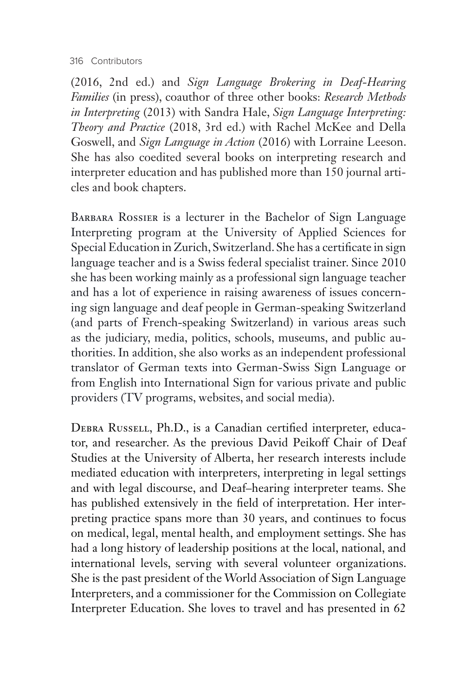## 316 Contributors

(2016, 2nd ed.) and *Sign Language Brokering in Deaf-Hearing Families* (in press), coauthor of three other books: *Research Methods in Interpreting* (2013) with Sandra Hale, *Sign Language Interpreting: Theory and Practice* (2018, 3rd ed.) with Rachel McKee and Della Goswell, and *Sign Language in Action* (2016) with Lorraine Leeson. She has also coedited several books on interpreting research and interpreter education and has published more than 150 journal articles and book chapters.

BARBARA ROSSIER is a lecturer in the Bachelor of Sign Language Interpreting program at the University of Applied Sciences for Special Education in Zurich, Switzerland. She has a certificate in sign language teacher and is a Swiss federal specialist trainer. Since 2010 she has been working mainly as a professional sign language teacher and has a lot of experience in raising awareness of issues concerning sign language and deaf people in German-speaking Switzerland (and parts of French-speaking Switzerland) in various areas such as the judiciary, media, politics, schools, museums, and public authorities. In addition, she also works as an independent professional translator of German texts into German-Swiss Sign Language or from English into International Sign for various private and public providers (TV programs, websites, and social media).

Debra Russell, Ph.D., is a Canadian certified interpreter, educator, and researcher. As the previous David Peikoff Chair of Deaf Studies at the University of Alberta, her research interests include mediated education with interpreters, interpreting in legal settings and with legal discourse, and Deaf–hearing interpreter teams. She has published extensively in the field of interpretation. Her interpreting practice spans more than 30 years, and continues to focus on medical, legal, mental health, and employment settings. She has had a long history of leadership positions at the local, national, and international levels, serving with several volunteer organizations. She is the past president of the World Association of Sign Language Interpreters, and a commissioner for the Commission on Collegiate Interpreter Education. She loves to travel and has presented in 62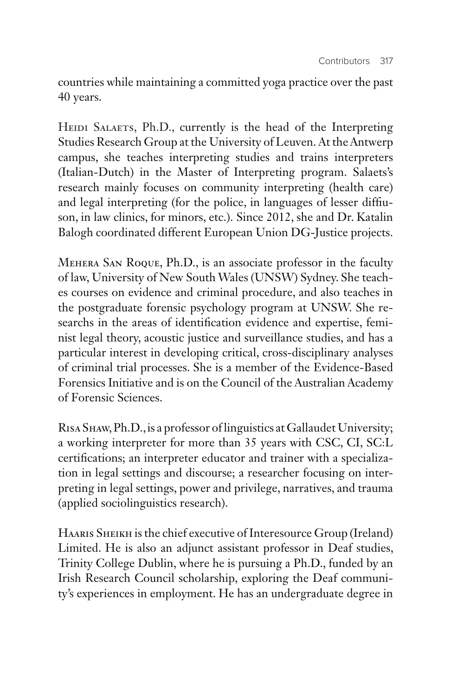countries while maintaining a committed yoga practice over the past 40 years.

HEIDI SALAETS, Ph.D., currently is the head of the Interpreting Studies Research Group at the University of Leuven. At the Antwerp campus, she teaches interpreting studies and trains interpreters (Italian-Dutch) in the Master of Interpreting program. Salaets's research mainly focuses on community interpreting (health care) and legal interpreting (for the police, in languages of lesser diffiuson, in law clinics, for minors, etc.). Since 2012, she and Dr. Katalin Balogh coordinated different European Union DG-Justice projects.

Mehera San Roque, Ph.D., is an associate professor in the faculty of law, University of New South Wales (UNSW) Sydney. She teaches courses on evidence and criminal procedure, and also teaches in the postgraduate forensic psychology program at UNSW. She researchs in the areas of identification evidence and expertise, feminist legal theory, acoustic justice and surveillance studies, and has a particular interest in developing critical, cross-disciplinary analyses of criminal trial processes. She is a member of the Evidence-Based Forensics Initiative and is on the Council of the Australian Academy of Forensic Sciences.

Risa Shaw, Ph.D., is a professor of linguistics at Gallaudet University; a working interpreter for more than 35 years with CSC, CI, SC:L certifications; an interpreter educator and trainer with a specialization in legal settings and discourse; a researcher focusing on interpreting in legal settings, power and privilege, narratives, and trauma (applied sociolinguistics research).

Haaris Sheikh is the chief executive of Interesource Group (Ireland) Limited. He is also an adjunct assistant professor in Deaf studies, Trinity College Dublin, where he is pursuing a Ph.D., funded by an Irish Research Council scholarship, exploring the Deaf community's experiences in employment. He has an undergraduate degree in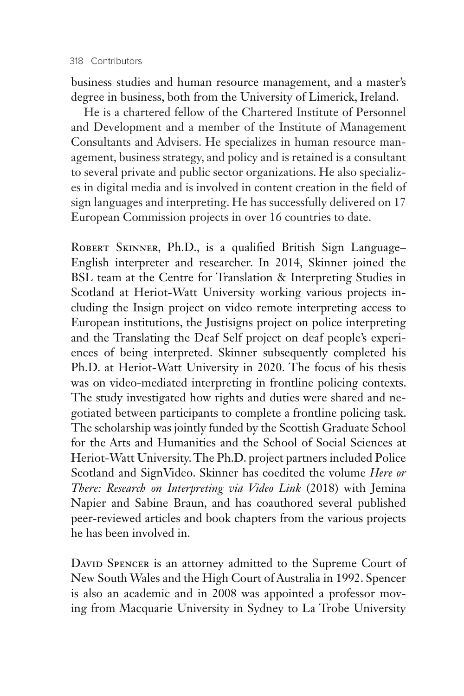business studies and human resource management, and a master's degree in business, both from the University of Limerick, Ireland.

He is a chartered fellow of the Chartered Institute of Personnel and Development and a member of the Institute of Management Consultants and Advisers. He specializes in human resource management, business strategy, and policy and is retained is a consultant to several private and public sector organizations. He also specializes in digital media and is involved in content creation in the field of sign languages and interpreting. He has successfully delivered on 17 European Commission projects in over 16 countries to date.

ROBERT SKINNER, Ph.D., is a qualified British Sign Language-English interpreter and researcher. In 2014, Skinner joined the BSL team at the Centre for Translation & Interpreting Studies in Scotland at Heriot-Watt University working various projects including the Insign project on video remote interpreting access to European institutions, the Justisigns project on police interpreting and the Translating the Deaf Self project on deaf people's experiences of being interpreted. Skinner subsequently completed his Ph.D. at Heriot-Watt University in 2020. The focus of his thesis was on video-mediated interpreting in frontline policing contexts. The study investigated how rights and duties were shared and negotiated between participants to complete a frontline policing task. The scholarship was jointly funded by the Scottish Graduate School for the Arts and Humanities and the School of Social Sciences at Heriot-Watt University. The Ph.D. project partners included Police Scotland and SignVideo. Skinner has coedited the volume *Here or There: Research on Interpreting via Video Link* (2018) with Jemina Napier and Sabine Braun, and has coauthored several published peer-reviewed articles and book chapters from the various projects he has been involved in.

DAVID SPENCER is an attorney admitted to the Supreme Court of New South Wales and the High Court of Australia in 1992. Spencer is also an academic and in 2008 was appointed a professor moving from Macquarie University in Sydney to La Trobe University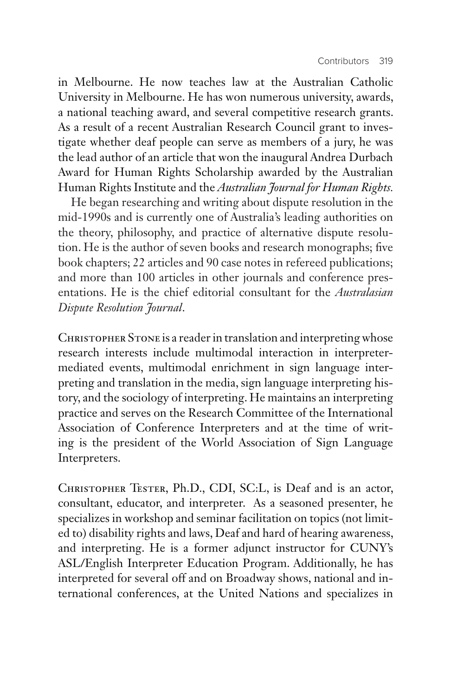in Melbourne. He now teaches law at the Australian Catholic University in Melbourne. He has won numerous university, awards, a national teaching award, and several competitive research grants. As a result of a recent Australian Research Council grant to investigate whether deaf people can serve as members of a jury, he was the lead author of an article that won the inaugural Andrea Durbach Award for Human Rights Scholarship awarded by the Australian Human Rights Institute and the *Australian Journal for Human Rights.*

He began researching and writing about dispute resolution in the mid-1990s and is currently one of Australia's leading authorities on the theory, philosophy, and practice of alternative dispute resolution. He is the author of seven books and research monographs; five book chapters; 22 articles and 90 case notes in refereed publications; and more than 100 articles in other journals and conference presentations. He is the chief editorial consultant for the *Australasian Dispute Resolution Journal*.

CHRISTOPHER STONE is a reader in translation and interpreting whose research interests include multimodal interaction in interpretermediated events, multimodal enrichment in sign language interpreting and translation in the media, sign language interpreting history, and the sociology of interpreting. He maintains an interpreting practice and serves on the Research Committee of the International Association of Conference Interpreters and at the time of writing is the president of the World Association of Sign Language Interpreters.

CHRISTOPHER TESTER, Ph.D., CDI, SC:L, is Deaf and is an actor, consultant, educator, and interpreter. As a seasoned presenter, he specializes in workshop and seminar facilitation on topics (not limited to) disability rights and laws, Deaf and hard of hearing awareness, and interpreting. He is a former adjunct instructor for CUNY's ASL/English Interpreter Education Program. Additionally, he has interpreted for several off and on Broadway shows, national and international conferences, at the United Nations and specializes in